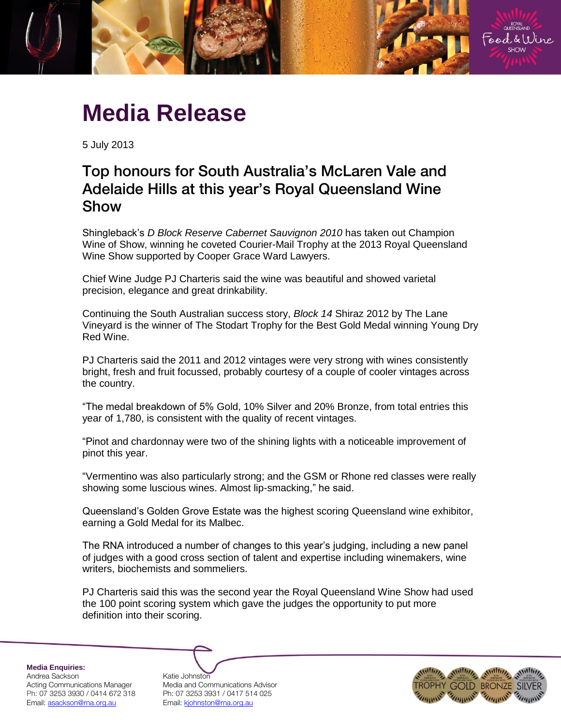

# **Media Release**

5 July 2013

# Top honours for South Australia's McLaren Vale and Adelaide Hills at this year's Royal Queensland Wine Show

Shingleback's *D Block Reserve Cabernet Sauvignon 2010* has taken out Champion Wine of Show, winning he coveted Courier-Mail Trophy at the 2013 Royal Queensland Wine Show supported by Cooper Grace Ward Lawyers.

Chief Wine Judge PJ Charteris said the wine was beautiful and showed varietal precision, elegance and great drinkability.

Continuing the South Australian success story, *Block 14* Shiraz 2012 by The Lane Vineyard is the winner of The Stodart Trophy for the Best Gold Medal winning Young Dry Red Wine.

PJ Charteris said the 2011 and 2012 vintages were very strong with wines consistently bright, fresh and fruit focussed, probably courtesy of a couple of cooler vintages across the country.

"The medal breakdown of 5% Gold, 10% Silver and 20% Bronze, from total entries this year of 1,780, is consistent with the quality of recent vintages.

"Pinot and chardonnay were two of the shining lights with a noticeable improvement of pinot this year.

"Vermentino was also particularly strong; and the GSM or Rhone red classes were really showing some luscious wines. Almost lip-smacking," he said.

Queensland's Golden Grove Estate was the highest scoring Queensland wine exhibitor, earning a Gold Medal for its Malbec.

The RNA introduced a number of changes to this year's judging, including a new panel of judges with a good cross section of talent and expertise including winemakers, wine writers, biochemists and sommeliers.

PJ Charteris said this was the second year the Royal Queensland Wine Show had used the 100 point scoring system which gave the judges the opportunity to put more definition into their scoring.

**Media Enquiries:**

Andrea Sackson Katie Johnston Ph: 07 3253 3930 / 0414 672 318 Ph: 07 3253 3931 / 0417 514 025 Email: asackson@rna.org.au Fmail: kjohnston@rna.org.au

Acting Communications Manager Media and Communications Advisor

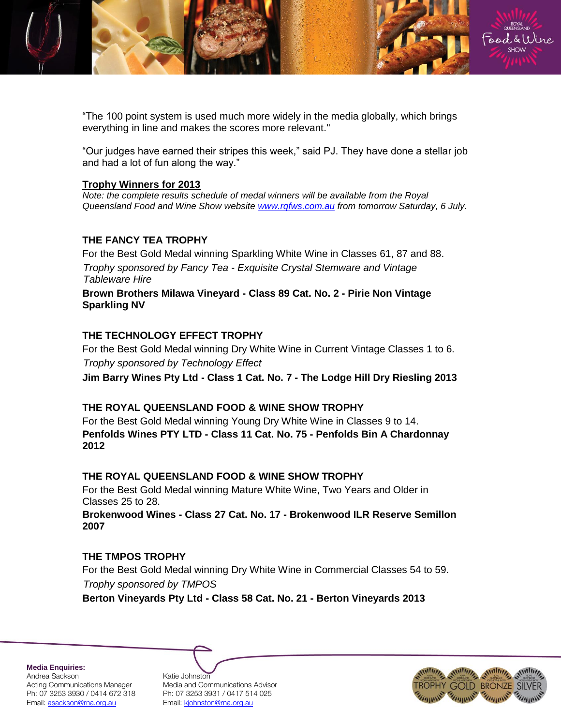

"The 100 point system is used much more widely in the media globally, which brings everything in line and makes the scores more relevant."

"Our judges have earned their stripes this week," said PJ. They have done a stellar job and had a lot of fun along the way."

#### **Trophy Winners for 2013**

*Note: the complete results schedule of medal winners will be available from the Royal Queensland Food and Wine Show website [www.rqfws.com.au](http://www.rqfws.com.au/) from tomorrow Saturday, 6 July.* 

### **THE FANCY TEA TROPHY**

For the Best Gold Medal winning Sparkling White Wine in Classes 61, 87 and 88. *Trophy sponsored by Fancy Tea - Exquisite Crystal Stemware and Vintage Tableware Hire* **Brown Brothers Milawa Vineyard - Class 89 Cat. No. 2 - Pirie Non Vintage Sparkling NV**

### **THE TECHNOLOGY EFFECT TROPHY**

For the Best Gold Medal winning Dry White Wine in Current Vintage Classes 1 to 6. *Trophy sponsored by Technology Effect*  **Jim Barry Wines Pty Ltd - Class 1 Cat. No. 7 - The Lodge Hill Dry Riesling 2013**

### **THE ROYAL QUEENSLAND FOOD & WINE SHOW TROPHY**

For the Best Gold Medal winning Young Dry White Wine in Classes 9 to 14. **Penfolds Wines PTY LTD - Class 11 Cat. No. 75 - Penfolds Bin A Chardonnay 2012**

# **THE ROYAL QUEENSLAND FOOD & WINE SHOW TROPHY**

For the Best Gold Medal winning Mature White Wine, Two Years and Older in Classes 25 to 28.

**Brokenwood Wines - Class 27 Cat. No. 17 - Brokenwood ILR Reserve Semillon 2007**

# **THE TMPOS TROPHY**

For the Best Gold Medal winning Dry White Wine in Commercial Classes 54 to 59. *Trophy sponsored by TMPOS*

**Berton Vineyards Pty Ltd - Class 58 Cat. No. 21 - Berton Vineyards 2013**

**Media Enquiries:** Andrea Sackson Katie Johnston Ph: 07 3253 3930 / 0414 672 318 Ph: 07 3253 3931 / 0417 514 025 Email: asackson@rna.org.au Fmail: kjohnston@rna.org.au

Acting Communications Manager Media and Communications Advisor

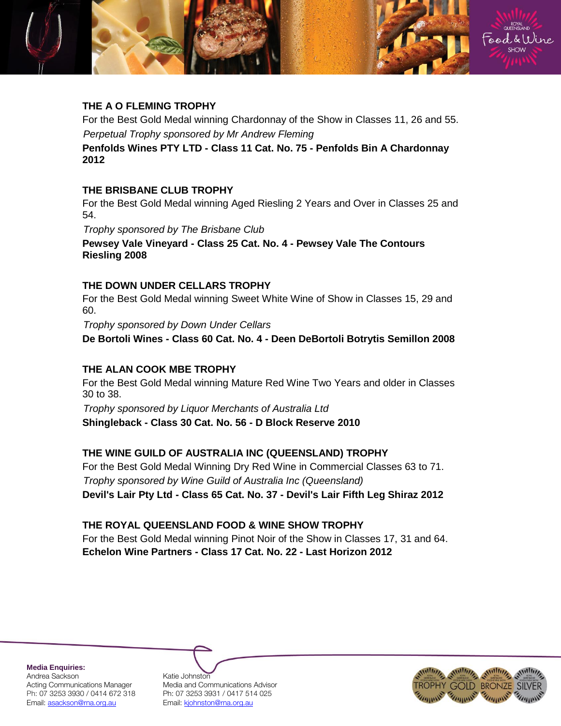

# **THE A O FLEMING TROPHY**

For the Best Gold Medal winning Chardonnay of the Show in Classes 11, 26 and 55. *Perpetual Trophy sponsored by Mr Andrew Fleming*

**Penfolds Wines PTY LTD - Class 11 Cat. No. 75 - Penfolds Bin A Chardonnay 2012**

### **THE BRISBANE CLUB TROPHY**

For the Best Gold Medal winning Aged Riesling 2 Years and Over in Classes 25 and 54.

*Trophy sponsored by The Brisbane Club*

**Pewsey Vale Vineyard - Class 25 Cat. No. 4 - Pewsey Vale The Contours Riesling 2008**

#### **THE DOWN UNDER CELLARS TROPHY**

For the Best Gold Medal winning Sweet White Wine of Show in Classes 15, 29 and 60.

*Trophy sponsored by Down Under Cellars*

**De Bortoli Wines - Class 60 Cat. No. 4 - Deen DeBortoli Botrytis Semillon 2008**

### **THE ALAN COOK MBE TROPHY**

For the Best Gold Medal winning Mature Red Wine Two Years and older in Classes 30 to 38.

*Trophy sponsored by Liquor Merchants of Australia Ltd* **Shingleback - Class 30 Cat. No. 56 - D Block Reserve 2010**

### **THE WINE GUILD OF AUSTRALIA INC (QUEENSLAND) TROPHY**

For the Best Gold Medal Winning Dry Red Wine in Commercial Classes 63 to 71. *Trophy sponsored by Wine Guild of Australia Inc (Queensland)* **Devil's Lair Pty Ltd - Class 65 Cat. No. 37 - Devil's Lair Fifth Leg Shiraz 2012**

### **THE ROYAL QUEENSLAND FOOD & WINE SHOW TROPHY**

For the Best Gold Medal winning Pinot Noir of the Show in Classes 17, 31 and 64. **Echelon Wine Partners - Class 17 Cat. No. 22 - Last Horizon 2012**

**Media Enquiries:** Andrea Sackson Katie Johnston

Acting Communications Manager Media and Communications Advisor Ph: 07 3253 3930 / 0414 672 318 Ph: 07 3253 3931 / 0417 514 025 Email: asackson@rna.org.au Fmail: kjohnston@rna.org.au

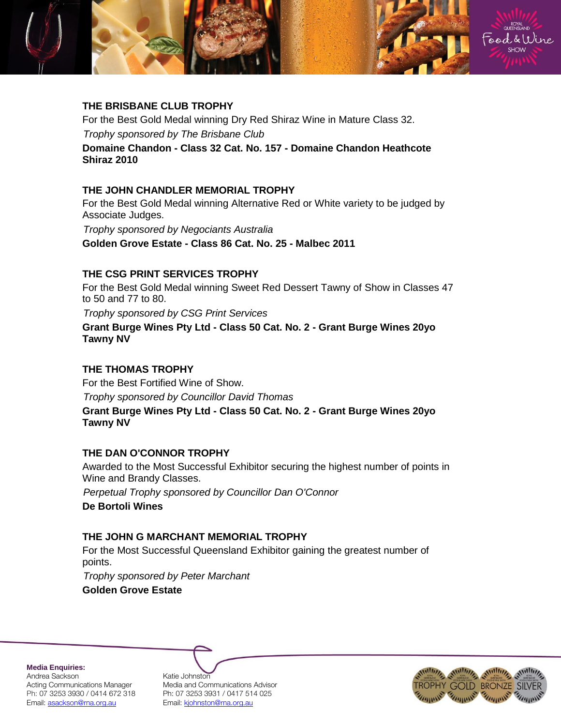

# **THE BRISBANE CLUB TROPHY**

For the Best Gold Medal winning Dry Red Shiraz Wine in Mature Class 32. *Trophy sponsored by The Brisbane Club*

**Domaine Chandon - Class 32 Cat. No. 157 - Domaine Chandon Heathcote Shiraz 2010** 

# **THE JOHN CHANDLER MEMORIAL TROPHY**

For the Best Gold Medal winning Alternative Red or White variety to be judged by Associate Judges.

*Trophy sponsored by Negociants Australia* **Golden Grove Estate - Class 86 Cat. No. 25 - Malbec 2011**

# **THE CSG PRINT SERVICES TROPHY**

For the Best Gold Medal winning Sweet Red Dessert Tawny of Show in Classes 47 to 50 and 77 to 80.

*Trophy sponsored by CSG Print Services*

**Grant Burge Wines Pty Ltd - Class 50 Cat. No. 2 - Grant Burge Wines 20yo Tawny NV**

# **THE THOMAS TROPHY**

For the Best Fortified Wine of Show. *Trophy sponsored by Councillor David Thomas*

**Grant Burge Wines Pty Ltd - Class 50 Cat. No. 2 - Grant Burge Wines 20yo Tawny NV**

### **THE DAN O'CONNOR TROPHY**

Awarded to the Most Successful Exhibitor securing the highest number of points in Wine and Brandy Classes.

*Perpetual Trophy sponsored by Councillor Dan O'Connor*

**De Bortoli Wines**

# **THE JOHN G MARCHANT MEMORIAL TROPHY**

For the Most Successful Queensland Exhibitor gaining the greatest number of points.

*Trophy sponsored by Peter Marchant*

**Golden Grove Estate**

**Media Enquiries:** Andrea Sackson Katie Johnston Email: asackson@rna.org.au Fmail: kjohnston@rna.org.au

Acting Communications Manager Media and Communications Advisor Ph: 07 3253 3930 / 0414 672 318 Ph: 07 3253 3931 / 0417 514 025

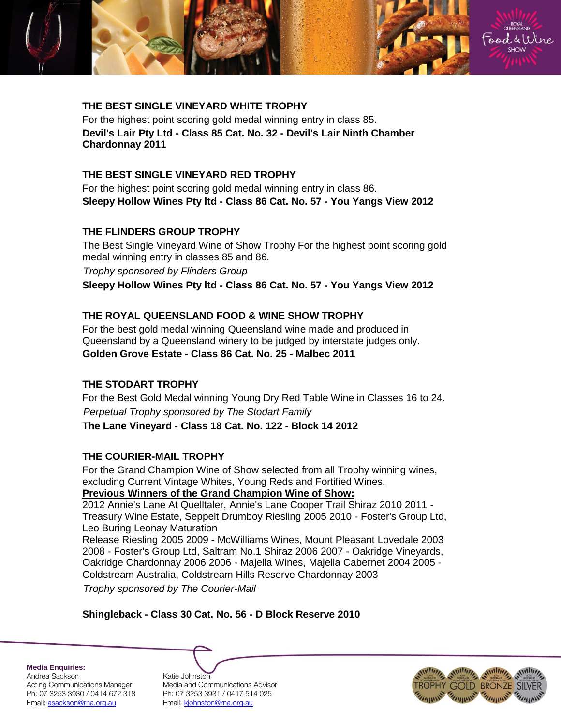

#### **THE BEST SINGLE VINEYARD WHITE TROPHY**

For the highest point scoring gold medal winning entry in class 85. **Devil's Lair Pty Ltd - Class 85 Cat. No. 32 - Devil's Lair Ninth Chamber Chardonnay 2011**

#### **THE BEST SINGLE VINEYARD RED TROPHY**

For the highest point scoring gold medal winning entry in class 86. **Sleepy Hollow Wines Pty ltd - Class 86 Cat. No. 57 - You Yangs View 2012**

#### **THE FLINDERS GROUP TROPHY**

The Best Single Vineyard Wine of Show Trophy For the highest point scoring gold medal winning entry in classes 85 and 86.

*Trophy sponsored by Flinders Group*

**Sleepy Hollow Wines Pty ltd - Class 86 Cat. No. 57 - You Yangs View 2012**

#### **THE ROYAL QUEENSLAND FOOD & WINE SHOW TROPHY**

For the best gold medal winning Queensland wine made and produced in Queensland by a Queensland winery to be judged by interstate judges only. **Golden Grove Estate - Class 86 Cat. No. 25 - Malbec 2011**

#### **THE STODART TROPHY**

For the Best Gold Medal winning Young Dry Red Table Wine in Classes 16 to 24. *Perpetual Trophy sponsored by The Stodart Family* **The Lane Vineyard - Class 18 Cat. No. 122 - Block 14 2012**

#### **THE COURIER-MAIL TROPHY**

For the Grand Champion Wine of Show selected from all Trophy winning wines, excluding Current Vintage Whites, Young Reds and Fortified Wines. **Previous Winners of the Grand Champion Wine of Show:**

2012 Annie's Lane At Quelltaler, Annie's Lane Cooper Trail Shiraz 2010 2011 - Treasury Wine Estate, Seppelt Drumboy Riesling 2005 2010 - Foster's Group Ltd, Leo Buring Leonay Maturation

Release Riesling 2005 2009 - McWilliams Wines, Mount Pleasant Lovedale 2003 2008 - Foster's Group Ltd, Saltram No.1 Shiraz 2006 2007 - Oakridge Vineyards, Oakridge Chardonnay 2006 2006 - Majella Wines, Majella Cabernet 2004 2005 - Coldstream Australia, Coldstream Hills Reserve Chardonnay 2003 *Trophy sponsored by The Courier-Mail*

### **Shingleback - Class 30 Cat. No. 56 - D Block Reserve 2010**

**Media Enquiries:**

Andrea Sackson Katie Johnston Ph: 07 3253 3930 / 0414 672 318 Ph: 07 3253 3931 / 0417 514 025 Email: asackson@rna.org.au Fmail: kjohnston@rna.org.au

Acting Communications Manager Media and Communications Advisor